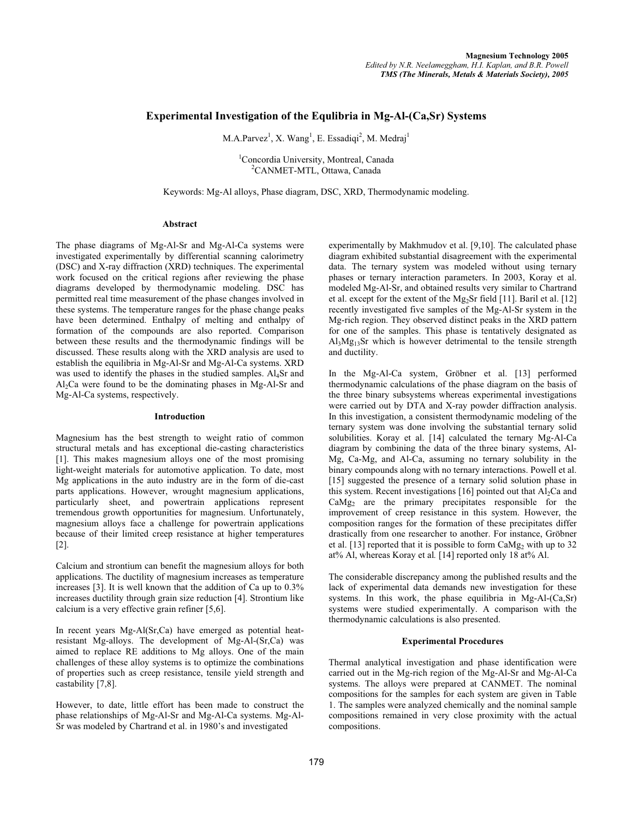# **Experimental Investigation of the Equlibria in Mg-Al-(Ca,Sr) Systems**

 $M.A.Parvez<sup>1</sup>, X. Wang<sup>1</sup>, E. Essadiqi<sup>2</sup>, M. Medraj<sup>1</sup>$ 

<sup>1</sup>Concordia University, Montreal, Canada<br><sup>2</sup>CANMET MTL Ottawa Canada CANMET-MTL, Ottawa, Canada

Keywords: Mg-Al alloys, Phase diagram, DSC, XRD, Thermodynamic modeling.

### **Abstract**

The phase diagrams of Mg-Al-Sr and Mg-Al-Ca systems were investigated experimentally by differential scanning calorimetry (DSC) and X-ray diffraction (XRD) techniques. The experimental work focused on the critical regions after reviewing the phase diagrams developed by thermodynamic modeling. DSC has permitted real time measurement of the phase changes involved in these systems. The temperature ranges for the phase change peaks have been determined. Enthalpy of melting and enthalpy of formation of the compounds are also reported. Comparison between these results and the thermodynamic findings will be discussed. These results along with the XRD analysis are used to establish the equilibria in Mg-Al-Sr and Mg-Al-Ca systems. XRD was used to identify the phases in the studied samples. Al<sub>4</sub>Sr and  $Al<sub>2</sub>Ca$  were found to be the dominating phases in Mg-Al-Sr and Mg-Al-Ca systems, respectively.

### **Introduction**

Magnesium has the best strength to weight ratio of common structural metals and has exceptional die-casting characteristics [1]. This makes magnesium alloys one of the most promising light-weight materials for automotive application. To date, most Mg applications in the auto industry are in the form of die-cast parts applications. However, wrought magnesium applications, particularly sheet, and powertrain applications represent tremendous growth opportunities for magnesium. Unfortunately, magnesium alloys face a challenge for powertrain applications because of their limited creep resistance at higher temperatures [2].

Calcium and strontium can benefit the magnesium alloys for both applications. The ductility of magnesium increases as temperature increases [3]. It is well known that the addition of Ca up to 0.3% increases ductility through grain size reduction [4]. Strontium like calcium is a very effective grain refiner [5,6].

In recent years Mg-Al(Sr,Ca) have emerged as potential heatresistant Mg-alloys. The development of Mg-Al-(Sr,Ca) was aimed to replace RE additions to Mg alloys. One of the main challenges of these alloy systems is to optimize the combinations of properties such as creep resistance, tensile yield strength and castability [7,8].

However, to date, little effort has been made to construct the phase relationships of Mg-Al-Sr and Mg-Al-Ca systems. Mg-Al-Sr was modeled by Chartrand et al. in 1980's and investigated

experimentally by Makhmudov et al. [9,10]. The calculated phase diagram exhibited substantial disagreement with the experimental data. The ternary system was modeled without using ternary phases or ternary interaction parameters. In 2003, Koray et al. modeled Mg-Al-Sr, and obtained results very similar to Chartrand et al. except for the extent of the Mg2Sr field [11]. Baril et al. [12] recently investigated five samples of the Mg-Al-Sr system in the Mg-rich region. They observed distinct peaks in the XRD pattern for one of the samples. This phase is tentatively designated as Al3Mg13Sr which is however detrimental to the tensile strength and ductility.

In the Mg-Al-Ca system, Gröbner et al. [13] performed thermodynamic calculations of the phase diagram on the basis of the three binary subsystems whereas experimental investigations were carried out by DTA and X-ray powder diffraction analysis. In this investigation, a consistent thermodynamic modeling of the ternary system was done involving the substantial ternary solid solubilities. Koray et al. [14] calculated the ternary Mg-Al-Ca diagram by combining the data of the three binary systems, Al-Mg, Ca-Mg, and Al-Ca, assuming no ternary solubility in the binary compounds along with no ternary interactions. Powell et al. [15] suggested the presence of a ternary solid solution phase in this system. Recent investigations  $[16]$  pointed out that  $Al_2$ Ca and  $CaMg<sub>2</sub>$  are the primary precipitates responsible for the improvement of creep resistance in this system. However, the composition ranges for the formation of these precipitates differ drastically from one researcher to another. For instance, Gröbner et al. [13] reported that it is possible to form  $CaMg<sub>2</sub>$  with up to 32 at% Al, whereas Koray et al*.* [14] reported only 18 at% Al.

The considerable discrepancy among the published results and the lack of experimental data demands new investigation for these systems. In this work, the phase equilibria in Mg-Al-(Ca,Sr) systems were studied experimentally. A comparison with the thermodynamic calculations is also presented.

# **Experimental Procedures**

Thermal analytical investigation and phase identification were carried out in the Mg-rich region of the Mg-Al-Sr and Mg-Al-Ca systems. The alloys were prepared at CANMET. The nominal compositions for the samples for each system are given in Table 1. The samples were analyzed chemically and the nominal sample compositions remained in very close proximity with the actual compositions.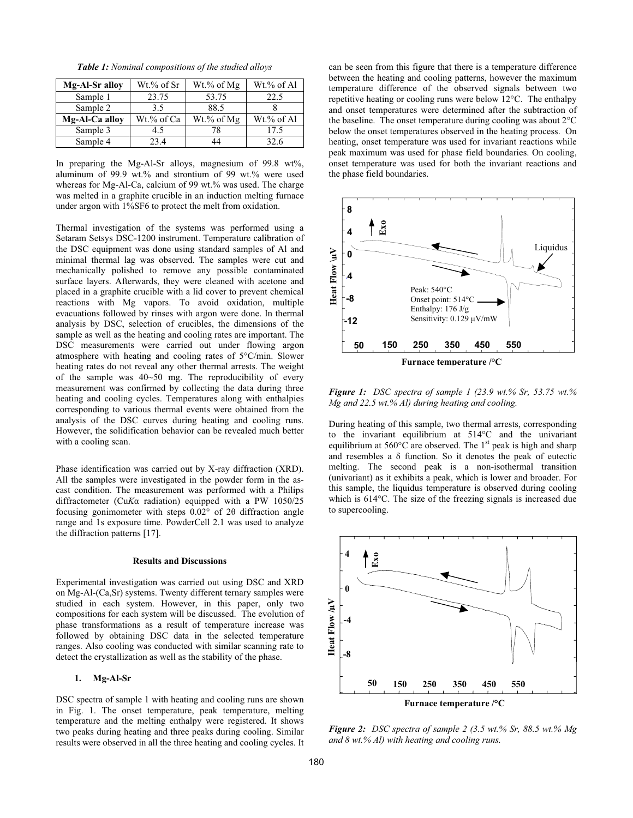*Table 1: Nominal compositions of the studied alloys* 

| Mg-Al-Sr allov | Wt.% of Sr | Wt.% of Mg | $Wt$ .% of Al |
|----------------|------------|------------|---------------|
| Sample 1       | 23.75      |            | 22.5          |
| Sample 2       | 3.5        | 88.5       |               |
| Mg-Al-Ca alloy | Wt.% of Ca | Wt.% of Mg | $Wt$ .% of Al |
| Sample 3       | 4.5        | 78         | 17.5          |
| Sample 4       | 23.4       | 44         | 32.6          |

In preparing the Mg-Al-Sr alloys, magnesium of 99.8 wt%, aluminum of 99.9 wt.% and strontium of 99 wt.% were used whereas for Mg-Al-Ca, calcium of 99 wt.% was used. The charge was melted in a graphite crucible in an induction melting furnace under argon with 1%SF6 to protect the melt from oxidation.

Thermal investigation of the systems was performed using a Setaram Setsys DSC-1200 instrument. Temperature calibration of the DSC equipment was done using standard samples of Al and minimal thermal lag was observed. The samples were cut and mechanically polished to remove any possible contaminated surface layers. Afterwards, they were cleaned with acetone and placed in a graphite crucible with a lid cover to prevent chemical reactions with Mg vapors. To avoid oxidation, multiple evacuations followed by rinses with argon were done. In thermal analysis by DSC, selection of crucibles, the dimensions of the sample as well as the heating and cooling rates are important. The DSC measurements were carried out under flowing argon atmosphere with heating and cooling rates of 5°C/min. Slower heating rates do not reveal any other thermal arrests. The weight of the sample was 40~50 mg. The reproducibility of every measurement was confirmed by collecting the data during three heating and cooling cycles. Temperatures along with enthalpies corresponding to various thermal events were obtained from the analysis of the DSC curves during heating and cooling runs. However, the solidification behavior can be revealed much better with a cooling scan.

Phase identification was carried out by X-ray diffraction (XRD). All the samples were investigated in the powder form in the ascast condition. The measurement was performed with a Philips diffractometer (Cu*K* $\alpha$  radiation) equipped with a PW 1050/25 focusing gonimometer with steps  $0.02^{\circ}$  of  $2\theta$  diffraction angle range and 1s exposure time. PowderCell 2.1 was used to analyze the diffraction patterns [17].

## **Results and Discussions**

Experimental investigation was carried out using DSC and XRD on Mg-Al-(Ca,Sr) systems. Twenty different ternary samples were studied in each system. However, in this paper, only two compositions for each system will be discussed. The evolution of phase transformations as a result of temperature increase was followed by obtaining DSC data in the selected temperature ranges. Also cooling was conducted with similar scanning rate to detect the crystallization as well as the stability of the phase.

# **1. Mg-Al-Sr**

DSC spectra of sample 1 with heating and cooling runs are shown in Fig. 1. The onset temperature, peak temperature, melting temperature and the melting enthalpy were registered. It shows two peaks during heating and three peaks during cooling. Similar results were observed in all the three heating and cooling cycles. It

can be seen from this figure that there is a temperature difference between the heating and cooling patterns, however the maximum temperature difference of the observed signals between two repetitive heating or cooling runs were below 12°C. The enthalpy and onset temperatures were determined after the subtraction of the baseline. The onset temperature during cooling was about 2°C below the onset temperatures observed in the heating process. On heating, onset temperature was used for invariant reactions while peak maximum was used for phase field boundaries. On cooling, onset temperature was used for both the invariant reactions and the phase field boundaries.



*Figure 1: DSC spectra of sample 1 (23.9 wt.% Sr, 53.75 wt.% Mg and 22.5 wt.% Al) during heating and cooling.* 

During heating of this sample, two thermal arrests, corresponding to the invariant equilibrium at 514°C and the univariant equilibrium at  $560^{\circ}$ C are observed. The 1<sup>st</sup> peak is high and sharp and resembles a  $\delta$  function. So it denotes the peak of eutectic melting. The second peak is a non-isothermal transition (univariant) as it exhibits a peak, which is lower and broader. For this sample, the liquidus temperature is observed during cooling which is 614°C. The size of the freezing signals is increased due to supercooling.



*Figure 2: DSC spectra of sample 2 (3.5 wt.% Sr, 88.5 wt.% Mg and 8 wt.% Al) with heating and cooling runs.*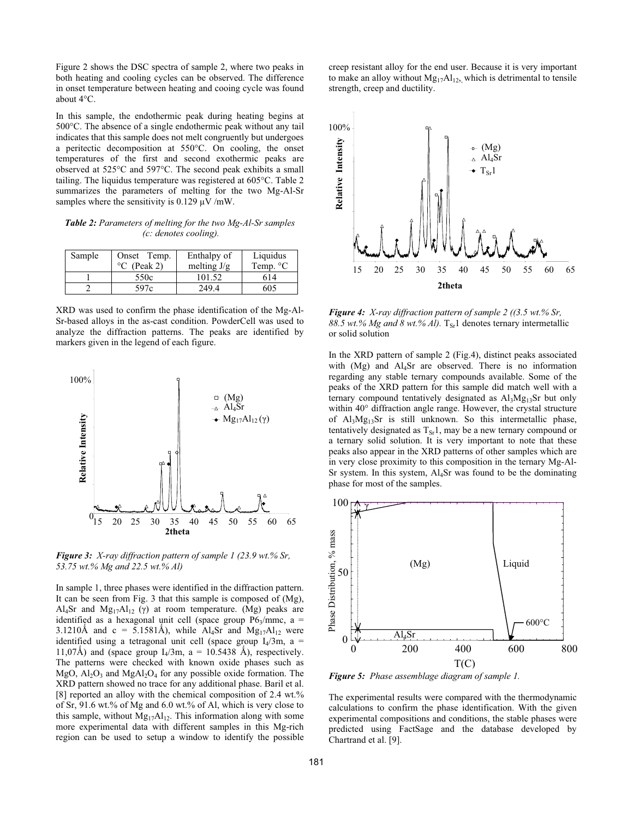Figure 2 shows the DSC spectra of sample 2, where two peaks in both heating and cooling cycles can be observed. The difference in onset temperature between heating and cooing cycle was found about 4°C.

In this sample, the endothermic peak during heating begins at 500°C. The absence of a single endothermic peak without any tail indicates that this sample does not melt congruently but undergoes a peritectic decomposition at 550°C. On cooling, the onset temperatures of the first and second exothermic peaks are observed at 525°C and 597°C. The second peak exhibits a small tailing. The liquidus temperature was registered at 605°C. Table 2 summarizes the parameters of melting for the two Mg-Al-Sr samples where the sensitivity is  $0.129 \mu V/mW$ .

*Table 2: Parameters of melting for the two Mg-Al-Sr samples (c: denotes cooling).* 

| Sample | Onset Temp.           | Enthalpy of   | Liquidus |
|--------|-----------------------|---------------|----------|
|        | $^{\circ}$ C (Peak 2) | melting $J/g$ | Temp. °C |
|        | 550c                  | 101.52        | 614      |
|        | 597c                  | 249.4         | 605      |

XRD was used to confirm the phase identification of the Mg-Al-Sr-based alloys in the as-cast condition. PowderCell was used to analyze the diffraction patterns. The peaks are identified by markers given in the legend of each figure.



*Figure 3: X-ray diffraction pattern of sample 1 (23.9 wt.% Sr, 53.75 wt.% Mg and 22.5 wt.% Al)* 

In sample 1, three phases were identified in the diffraction pattern. It can be seen from Fig. 3 that this sample is composed of (Mg), Al<sub>4</sub>Sr and Mg<sub>17</sub>Al<sub>12</sub> ( $\gamma$ ) at room temperature. (Mg) peaks are identified as a hexagonal unit cell (space group  $P6_3/mmc$ , a = 3.1210Å and c = 5.1581Å), while Al<sub>4</sub>Sr and Mg<sub>17</sub>Al<sub>12</sub> were identified using a tetragonal unit cell (space group  $I_4/3m$ , a = 11,07Å) and (space group  $I_4/3m$ , a = 10.5438 Å), respectively. The patterns were checked with known oxide phases such as MgO,  $Al_2O_3$  and MgAl<sub>2</sub>O<sub>4</sub> for any possible oxide formation. The XRD pattern showed no trace for any additional phase. Baril et al. [8] reported an alloy with the chemical composition of 2.4 wt.% of Sr, 91.6 wt.% of Mg and 6.0 wt.% of Al, which is very close to this sample, without  $Mg_{17}Al_{12}$ . This information along with some more experimental data with different samples in this Mg-rich region can be used to setup a window to identify the possible

creep resistant alloy for the end user. Because it is very important to make an alloy without  $Mg_{17}Al_{12}$ , which is detrimental to tensile strength, creep and ductility.



*Figure 4: X-ray diffraction pattern of sample 2 ((3.5 wt.% Sr,*  88.5 wt.% Mg and 8 wt.%  $Al$ ). T<sub>Sr</sub>1 denotes ternary intermetallic or solid solution

In the XRD pattern of sample 2 (Fig.4), distinct peaks associated with  $(Mg)$  and  $Al<sub>4</sub>Sr$  are observed. There is no information regarding any stable ternary compounds available. Some of the peaks of the XRD pattern for this sample did match well with a ternary compound tentatively designated as  $Al_3Mg_{13}Sr$  but only within 40° diffraction angle range. However, the crystal structure of Al3Mg13Sr is still unknown. So this intermetallic phase, tentatively designated as  $T_{Sr}1$ , may be a new ternary compound or a ternary solid solution. It is very important to note that these peaks also appear in the XRD patterns of other samples which are in very close proximity to this composition in the ternary Mg-Al-Sr system. In this system, Al4Sr was found to be the dominating phase for most of the samples.



*Figure 5: Phase assemblage diagram of sample 1.* 

The experimental results were compared with the thermodynamic calculations to confirm the phase identification. With the given experimental compositions and conditions, the stable phases were predicted using FactSage and the database developed by Chartrand et al. [9].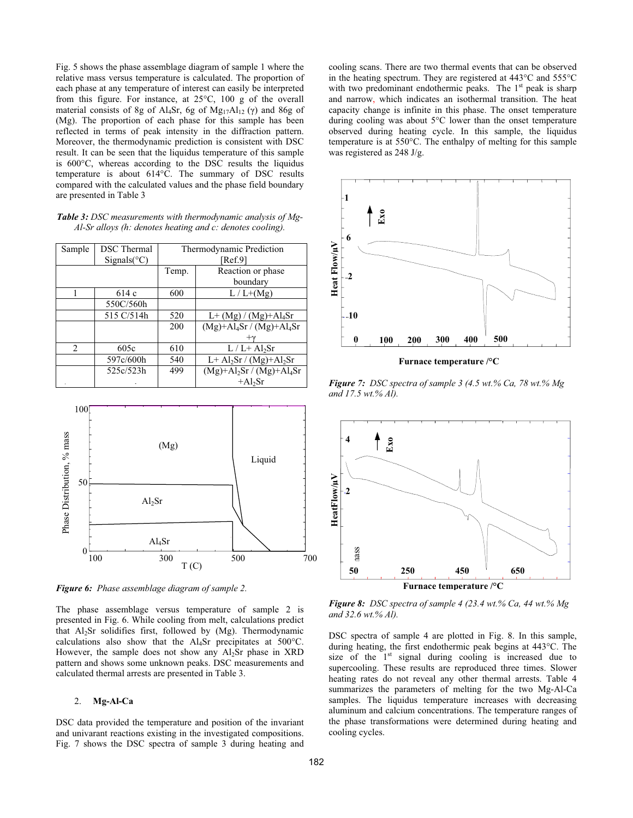Fig. 5 shows the phase assemblage diagram of sample 1 where the relative mass versus temperature is calculated. The proportion of each phase at any temperature of interest can easily be interpreted from this figure. For instance, at 25°C, 100 g of the overall material consists of 8g of Al<sub>4</sub>Sr, 6g of Mg<sub>17</sub>Al<sub>12</sub> ( $\gamma$ ) and 86g of (Mg). The proportion of each phase for this sample has been reflected in terms of peak intensity in the diffraction pattern. Moreover, the thermodynamic prediction is consistent with DSC result. It can be seen that the liquidus temperature of this sample is 600°C, whereas according to the DSC results the liquidus temperature is about 614°C. The summary of DSC results compared with the calculated values and the phase field boundary are presented in Table 3

*Table 3: DSC measurements with thermodynamic analysis of Mg-Al-Sr alloys (h: denotes heating and c: denotes cooling).* 

| Sample | <b>DSC</b> Thermal | Thermodynamic Prediction |                                 |
|--------|--------------------|--------------------------|---------------------------------|
|        | $Sigma^{\circ}$ C) | [Ref.9]                  |                                 |
|        |                    | Temp.                    | Reaction or phase               |
|        |                    |                          | boundary                        |
|        | 614 c              | 600                      | $L/L+(Mg)$                      |
|        | 550C/560h          |                          |                                 |
|        | 515 C/514h         | 520                      | $L+ (Mg) / (Mg) + Al_4Sr$       |
|        |                    | 200                      | $(Mg) + Al_4Sr / (Mg) + Al_4Sr$ |
|        |                    |                          | $+\nu$                          |
| 2      | 605c               | 610                      | $L/L+Al2Sr$                     |
|        | 597c/600h          | 540                      | $L+ Al2Sr/(Mg)+Al2Sr$           |
|        | 525c/523h          | 499                      | $(Mg) + Al_2Sr / (Mg) + Al_4Sr$ |
|        |                    |                          | $+Al2Sr$                        |
|        |                    |                          |                                 |



*Figure 6: Phase assemblage diagram of sample 2.*

The phase assemblage versus temperature of sample 2 is presented in Fig. 6. While cooling from melt, calculations predict that  $Al<sub>2</sub>Sr$  solidifies first, followed by (Mg). Thermodynamic calculations also show that the Al4Sr precipitates at 500°C. However, the sample does not show any  $Al<sub>2</sub>Sr$  phase in XRD pattern and shows some unknown peaks. DSC measurements and calculated thermal arrests are presented in Table 3.

#### 2. **Mg-Al-Ca**

DSC data provided the temperature and position of the invariant and univarant reactions existing in the investigated compositions. Fig. 7 shows the DSC spectra of sample 3 during heating and

cooling scans. There are two thermal events that can be observed in the heating spectrum. They are registered at 443°C and 555°C with two predominant endothermic peaks. The  $1<sup>st</sup>$  peak is sharp and narrow, which indicates an isothermal transition. The heat capacity change is infinite in this phase. The onset temperature during cooling was about 5°C lower than the onset temperature observed during heating cycle. In this sample, the liquidus temperature is at 550°C. The enthalpy of melting for this sample was registered as 248 J/g.



**Furnace temperature /°C**

*Figure 7: DSC spectra of sample 3 (4.5 wt.% Ca, 78 wt.% Mg and 17.5 wt.% Al).* 



*Figure 8: DSC spectra of sample 4 (23.4 wt.% Ca, 44 wt.% Mg and 32.6 wt.% Al).* 

DSC spectra of sample 4 are plotted in Fig. 8. In this sample, during heating, the first endothermic peak begins at 443°C. The size of the  $1<sup>st</sup>$  signal during cooling is increased due to supercooling. These results are reproduced three times. Slower heating rates do not reveal any other thermal arrests. Table 4 summarizes the parameters of melting for the two Mg-Al-Ca samples. The liquidus temperature increases with decreasing aluminum and calcium concentrations. The temperature ranges of the phase transformations were determined during heating and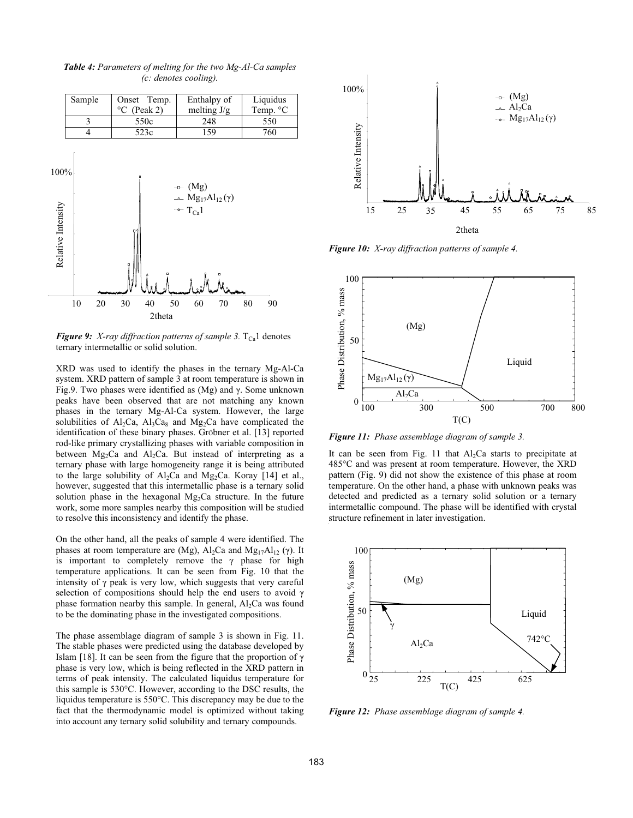

*Table 4: Parameters of melting for the two Mg-Al-Ca samples (c: denotes cooling).* 

*Figure 9: X-ray diffraction patterns of sample 3.* T<sub>Ca</sub>1 denotes ternary intermetallic or solid solution.

XRD was used to identify the phases in the ternary Mg-Al-Ca system. XRD pattern of sample 3 at room temperature is shown in Fig.9. Two phases were identified as  $(Mg)$  and  $\gamma$ . Some unknown peaks have been observed that are not matching any known phases in the ternary Mg-Al-Ca system. However, the large solubilities of  $Al_2Ca$ ,  $Al_3Ca_8$  and  $Mg_2Ca$  have complicated the identification of these binary phases. Gröbner et al. [13] reported rod-like primary crystallizing phases with variable composition in between  $Mg_2Ca$  and  $Al_2Ca$ . But instead of interpreting as a ternary phase with large homogeneity range it is being attributed to the large solubility of  $Al_2Ca$  and  $Mg_2Ca$ . Koray [14] et al., however, suggested that this intermetallic phase is a ternary solid solution phase in the hexagonal  $Mg<sub>2</sub>Ca$  structure. In the future work, some more samples nearby this composition will be studied to resolve this inconsistency and identify the phase.

On the other hand, all the peaks of sample 4 were identified. The phases at room temperature are (Mg),  $Al_2Ca$  and  $Mg_{17}Al_{12}$  ( $\gamma$ ). It is important to completely remove the  $\gamma$  phase for high temperature applications. It can be seen from Fig. 10 that the intensity of  $\gamma$  peak is very low, which suggests that very careful selection of compositions should help the end users to avoid  $\gamma$ phase formation nearby this sample. In general,  $Al_2Ca$  was found to be the dominating phase in the investigated compositions.

The phase assemblage diagram of sample 3 is shown in Fig. 11. The stable phases were predicted using the database developed by Islam [18]. It can be seen from the figure that the proportion of  $\gamma$ phase is very low, which is being reflected in the XRD pattern in terms of peak intensity. The calculated liquidus temperature for this sample is 530°C. However, according to the DSC results, the liquidus temperature is 550°C. This discrepancy may be due to the fact that the thermodynamic model is optimized without taking into account any ternary solid solubility and ternary compounds.



*Figure 10: X-ray diffraction patterns of sample 4.* 



*Figure 11: Phase assemblage diagram of sample 3.* 

It can be seen from Fig. 11 that  $Al<sub>2</sub>Ca$  starts to precipitate at 485°C and was present at room temperature. However, the XRD pattern (Fig. 9) did not show the existence of this phase at room temperature. On the other hand, a phase with unknown peaks was detected and predicted as a ternary solid solution or a ternary intermetallic compound. The phase will be identified with crystal structure refinement in later investigation.



*Figure 12: Phase assemblage diagram of sample 4.*